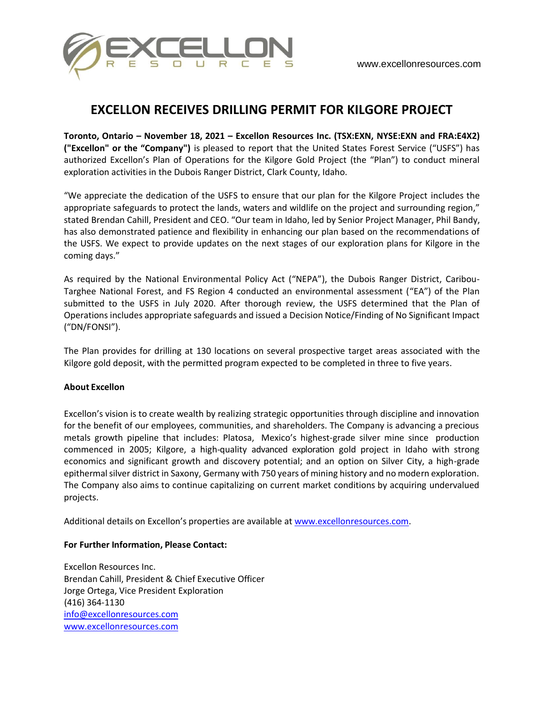

## **EXCELLON RECEIVES DRILLING PERMIT FOR KILGORE PROJECT**

**Toronto, Ontario – November 18, 2021 – Excellon Resources Inc. (TSX:EXN, NYSE:EXN and FRA:E4X2) ("Excellon" or the "Company")** is pleased to report that the United States Forest Service ("USFS") has authorized Excellon's Plan of Operations for the Kilgore Gold Project (the "Plan") to conduct mineral exploration activities in the Dubois Ranger District, Clark County, Idaho.

"We appreciate the dedication of the USFS to ensure that our plan for the Kilgore Project includes the appropriate safeguards to protect the lands, waters and wildlife on the project and surrounding region," stated Brendan Cahill, President and CEO. "Our team in Idaho, led by Senior Project Manager, Phil Bandy, has also demonstrated patience and flexibility in enhancing our plan based on the recommendations of the USFS. We expect to provide updates on the next stages of our exploration plans for Kilgore in the coming days."

As required by the National Environmental Policy Act ("NEPA"), the Dubois Ranger District, Caribou-Targhee National Forest, and FS Region 4 conducted an environmental assessment ("EA") of the Plan submitted to the USFS in July 2020. After thorough review, the USFS determined that the Plan of Operations includes appropriate safeguards and issued a Decision Notice/Finding of No Significant Impact ("DN/FONSI").

The Plan provides for drilling at 130 locations on several prospective target areas associated with the Kilgore gold deposit, with the permitted program expected to be completed in three to five years.

## **About Excellon**

Excellon's vision is to create wealth by realizing strategic opportunities through discipline and innovation for the benefit of our employees, communities, and shareholders. The Company is advancing a precious metals growth pipeline that includes: Platosa, Mexico's highest-grade silver mine since production commenced in 2005; Kilgore, a high-quality advanced exploration gold project in Idaho with strong economics and significant growth and discovery potential; and an option on Silver City, a high-grade epithermal silver district in Saxony, Germany with 750 years of mining history and no modern exploration. The Company also aims to continue capitalizing on current market conditions by acquiring undervalued projects.

Additional details on Excellon's properties are available at www.excellonresources.com.

## **For Further Information, Please Contact:**

Excellon Resources Inc. Brendan Cahill, President & Chief Executive Officer Jorge Ortega, Vice President Exploration (416) 364-1130 info@excellonresources.com www.excellonresources.com